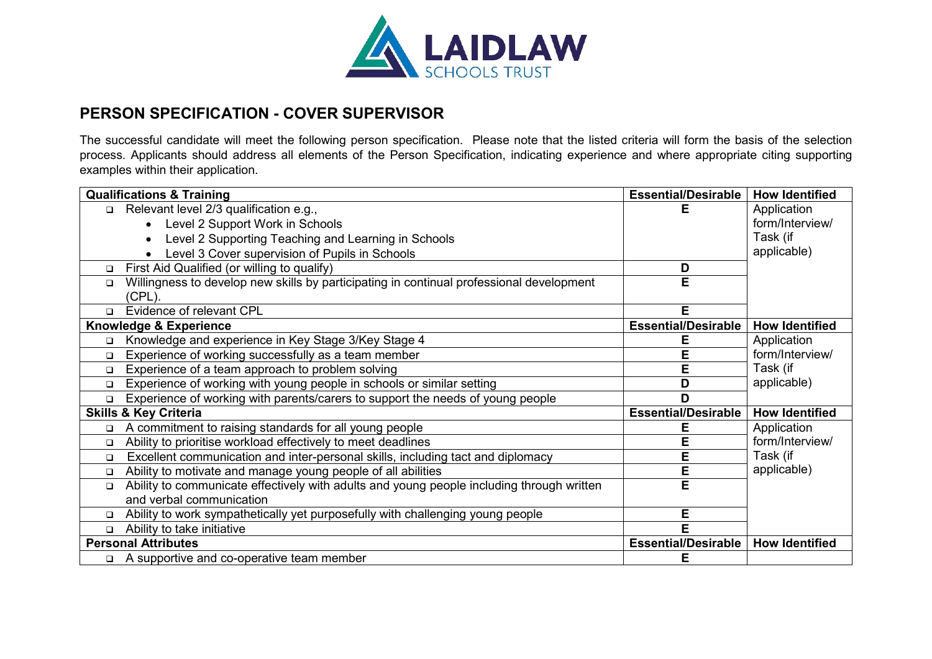

## **PERSON SPECIFICATION - COVER SUPERVISOR**

The successful candidate will meet the following person specification. Please note that the listed criteria will form the basis of the selection process. Applicants should address all elements of the Person Specification, indicating experience and where appropriate citing supporting examples within their application.

| <b>Qualifications &amp; Training</b> |                                                                                                    | <b>Essential/Desirable</b> | <b>How Identified</b> |
|--------------------------------------|----------------------------------------------------------------------------------------------------|----------------------------|-----------------------|
| $\Box$                               | Relevant level 2/3 qualification e.g.,                                                             | Е                          | Application           |
|                                      | Level 2 Support Work in Schools                                                                    |                            | form/Interview/       |
|                                      | Level 2 Supporting Teaching and Learning in Schools                                                |                            | Task (if              |
|                                      | Level 3 Cover supervision of Pupils in Schools                                                     |                            | applicable)           |
| $\Box$                               | First Aid Qualified (or willing to qualify)                                                        | D                          |                       |
| □                                    | Willingness to develop new skills by participating in continual professional development<br>(CPL). | E                          |                       |
| $\Box$                               | Evidence of relevant CPL                                                                           | E.                         |                       |
| <b>Knowledge &amp; Experience</b>    |                                                                                                    | <b>Essential/Desirable</b> | <b>How Identified</b> |
| □                                    | Knowledge and experience in Key Stage 3/Key Stage 4                                                | Е                          | Application           |
| □                                    | Experience of working successfully as a team member                                                | E                          | form/Interview/       |
| □                                    | Experience of a team approach to problem solving                                                   | E                          | Task (if              |
| □                                    | Experience of working with young people in schools or similar setting                              | D                          | applicable)           |
| $\Box$                               | Experience of working with parents/carers to support the needs of young people                     | D                          |                       |
| <b>Skills &amp; Key Criteria</b>     |                                                                                                    | <b>Essential/Desirable</b> | <b>How Identified</b> |
| □                                    | A commitment to raising standards for all young people                                             | E                          | Application           |
| $\Box$                               | Ability to prioritise workload effectively to meet deadlines                                       | E                          | form/Interview/       |
| □                                    | Excellent communication and inter-personal skills, including tact and diplomacy                    | E                          | Task (if              |
| □                                    | Ability to motivate and manage young people of all abilities                                       | E                          | applicable)           |
| □                                    | Ability to communicate effectively with adults and young people including through written          | E                          |                       |
|                                      | and verbal communication                                                                           |                            |                       |
| $\Box$                               | Ability to work sympathetically yet purposefully with challenging young people                     | E                          |                       |
| $\Box$                               | Ability to take initiative                                                                         | E                          |                       |
| <b>Personal Attributes</b>           |                                                                                                    | <b>Essential/Desirable</b> | <b>How Identified</b> |
|                                      | □ A supportive and co-operative team member                                                        | Е                          |                       |